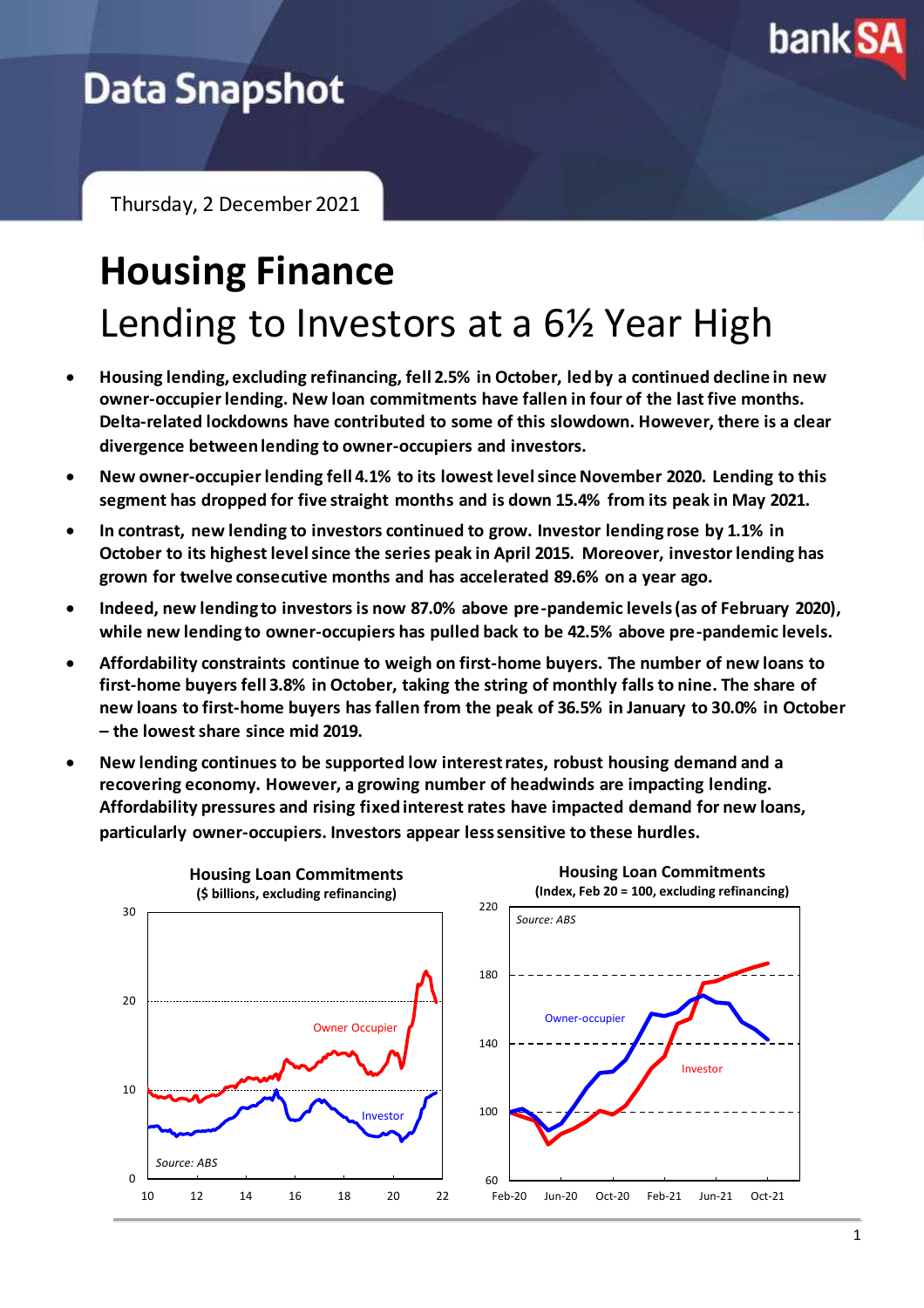

# **Data Snapshot**

Thursday, 2 December 2021

# **Housing Finance** Lending to Investors at a 6½ Year High

- **Housing lending, excluding refinancing, fell 2.5% in October, led by a continued decline in new owner-occupier lending. New loan commitments have fallen in four of the last five months. Delta-related lockdowns have contributed to some of this slowdown. However, there is a clear divergence between lending to owner-occupiers and investors.**
- **New owner-occupier lending fell 4.1% to its lowest level since November 2020. Lending to this segment has dropped for five straight months and is down 15.4% from its peak in May 2021.**
- **In contrast, new lending to investors continued to grow. Investor lending rose by 1.1% in October to its highest level since the series peak in April 2015. Moreover, investor lending has grown for twelve consecutive months and has accelerated 89.6% on a year ago.**
- **Indeed, new lending to investors is now 87.0% above pre-pandemic levels (as of February 2020), while new lending to owner-occupiers has pulled back to be 42.5% above pre-pandemic levels.**
- **Affordability constraints continue to weigh on first-home buyers. The number of new loans to first-home buyers fell 3.8% in October, taking the string of monthly falls to nine. The share of new loans to first-home buyers has fallen from the peak of 36.5% in January to 30.0% in October – the lowest share since mid 2019.**
- **New lending continues to be supported low interest rates, robust housing demand and a recovering economy. However, a growing number of headwinds are impacting lending. Affordability pressures and rising fixed interest rates have impacted demand for new loans, particularly owner-occupiers. Investors appear less sensitive to these hurdles.**

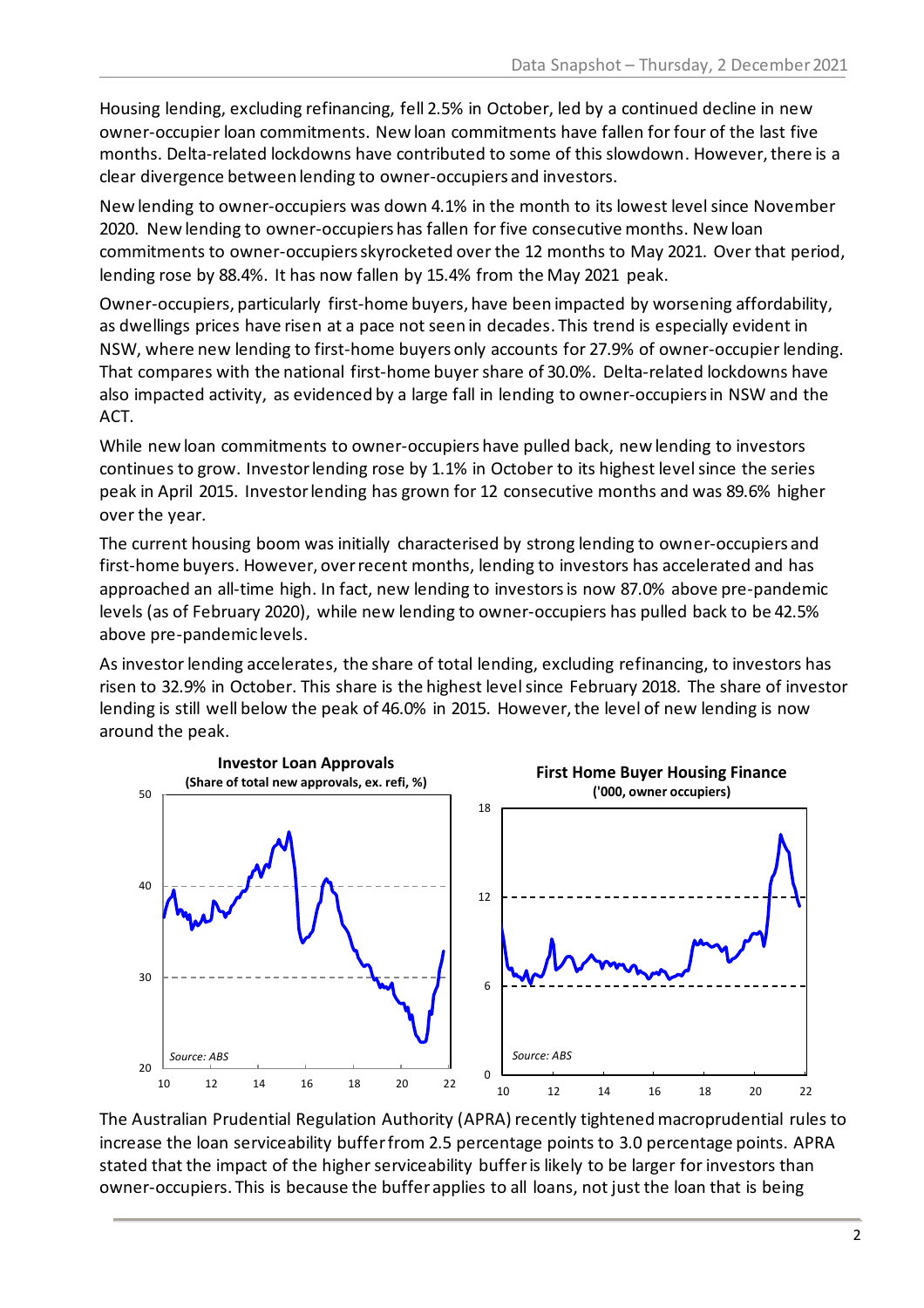Housing lending, excluding refinancing, fell 2.5% in October, led by a continued decline in new owner-occupier loan commitments. New loan commitments have fallen for four of the last five months. Delta-related lockdowns have contributed to some of this slowdown. However, there is a clear divergence between lending to owner-occupiers and investors.

New lending to owner-occupiers was down 4.1% in the month to its lowest level since November 2020. New lending to owner-occupiers has fallen for five consecutive months. New loan commitments to owner-occupiers skyrocketed over the 12 months to May 2021. Over that period, lending rose by 88.4%. It has now fallen by 15.4% from the May 2021 peak.

Owner-occupiers, particularly first-home buyers, have been impacted by worsening affordability, as dwellings prices have risen at a pace not seen in decades. This trend is especially evident in NSW, where new lending to first-home buyers only accounts for 27.9% of owner-occupier lending. That compares with the national first-home buyer share of 30.0%. Delta-related lockdowns have also impacted activity, as evidenced by a large fall in lending to owner-occupiers in NSW and the ACT.

While new loan commitments to owner-occupiers have pulled back, new lending to investors continues to grow. Investor lending rose by 1.1% in October to its highest level since the series peak in April 2015. Investor lending has grown for 12 consecutive months and was 89.6% higher over the year.

The current housing boom was initially characterised by strong lending to owner-occupiers and first-home buyers. However, over recent months, lending to investors has accelerated and has approached an all-time high. In fact, new lending to investors is now 87.0% above pre-pandemic levels (as of February 2020), while new lending to owner-occupiers has pulled back to be 42.5% above pre-pandemic levels.

As investor lending accelerates, the share of total lending, excluding refinancing, to investors has risen to 32.9% in October. This share is the highest level since February 2018. The share of investor lending is still well below the peak of 46.0% in 2015. However, the level of new lending is now around the peak.



The Australian Prudential Regulation Authority (APRA) recently tightened macroprudential rules to increase the loan serviceability buffer from 2.5 percentage points to 3.0 percentage points. APRA stated that the impact of the higher serviceability buffer is likely to be larger for investors than owner-occupiers. This is because the buffer applies to all loans, not just the loan that is being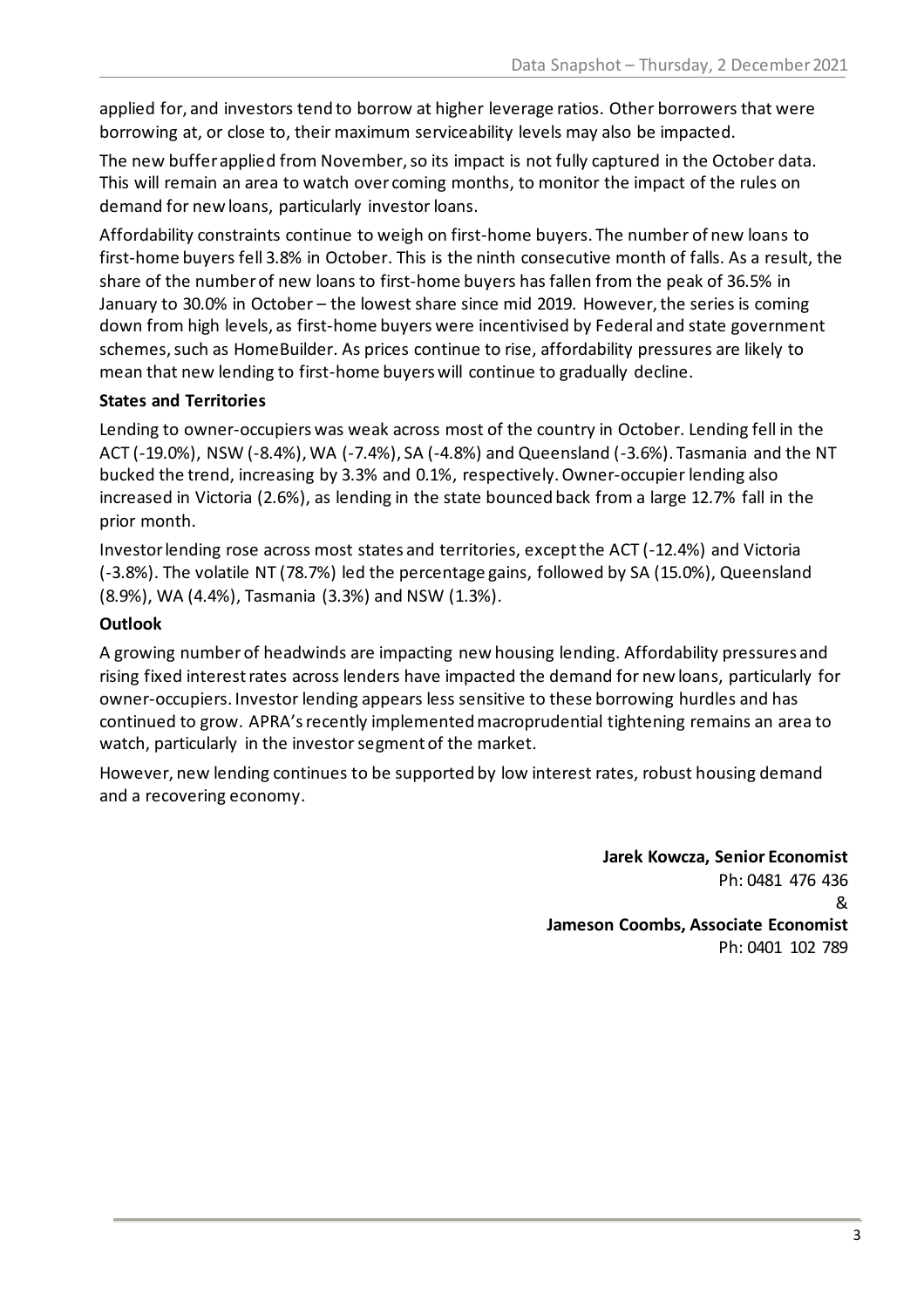applied for, and investors tend to borrow at higher leverage ratios. Other borrowers that were borrowing at, or close to, their maximum serviceability levels may also be impacted.

The new buffer applied from November, so its impact is not fully captured in the October data. This will remain an area to watch over coming months, to monitor the impact of the rules on demand for new loans, particularly investor loans.

Affordability constraints continue to weigh on first-home buyers. The number of new loans to first-home buyers fell 3.8% in October. This is the ninth consecutive month of falls. As a result, the share of the number of new loans to first-home buyers has fallen from the peak of 36.5% in January to 30.0% in October – the lowest share since mid 2019. However, the series is coming down from high levels, as first-home buyers were incentivised by Federal and state government schemes, such as HomeBuilder. As prices continue to rise, affordability pressures are likely to mean that new lending to first-home buyers will continue to gradually decline.

## **States and Territories**

Lending to owner-occupiers was weak across most of the country in October. Lending fell in the ACT (-19.0%), NSW (-8.4%), WA (-7.4%), SA (-4.8%) and Queensland (-3.6%). Tasmania and the NT bucked the trend, increasing by 3.3% and 0.1%, respectively. Owner-occupier lending also increased in Victoria (2.6%), as lending in the state bounced back from a large 12.7% fall in the prior month.

Investor lending rose across most states and territories, except the ACT (-12.4%) and Victoria (-3.8%). The volatile NT (78.7%) led the percentage gains, followed by SA (15.0%), Queensland (8.9%), WA (4.4%), Tasmania (3.3%) and NSW (1.3%).

## **Outlook**

A growing number of headwinds are impacting new housing lending. Affordability pressures and rising fixed interest rates across lenders have impacted the demand for new loans, particularly for owner-occupiers. Investor lending appears less sensitive to these borrowing hurdles and has continued to grow. APRA's recently implemented macroprudential tightening remains an area to watch, particularly in the investor segment of the market.

However, new lending continues to be supported by low interest rates, robust housing demand and a recovering economy.

> **Jarek Kowcza, Senior Economist** Ph: 0481 476 436 & **Jameson Coombs, Associate Economist** Ph: 0401 102 789